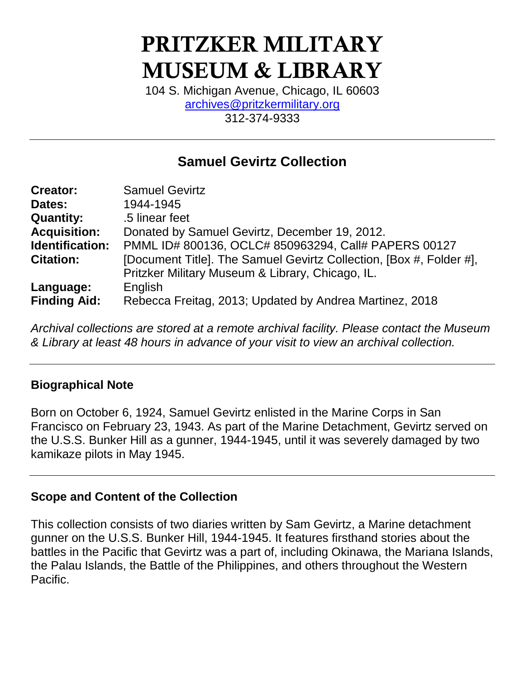# **PRITZKER MILITARY MUSEUM & LIBRARY**

104 S. Michigan Avenue, Chicago, IL 60603 [archives@pritzkermilitary.org](mailto:archives@pritzkermilitary.org) 312-374-9333

## **Samuel Gevirtz Collection**

| <b>Creator:</b>     | <b>Samuel Gevirtz</b>                                               |
|---------------------|---------------------------------------------------------------------|
| Dates:              | 1944-1945                                                           |
| <b>Quantity:</b>    | .5 linear feet                                                      |
| <b>Acquisition:</b> | Donated by Samuel Gevirtz, December 19, 2012.                       |
| Identification:     | PMML ID# 800136, OCLC# 850963294, Call# PAPERS 00127                |
| <b>Citation:</b>    | [Document Title]. The Samuel Gevirtz Collection, [Box #, Folder #], |
|                     | Pritzker Military Museum & Library, Chicago, IL.                    |
| Language:           | English                                                             |
| <b>Finding Aid:</b> | Rebecca Freitag, 2013; Updated by Andrea Martinez, 2018             |

*Archival collections are stored at a remote archival facility. Please contact the Museum & Library at least 48 hours in advance of your visit to view an archival collection.*

#### **Biographical Note**

Born on October 6, 1924, Samuel Gevirtz enlisted in the Marine Corps in San Francisco on February 23, 1943. As part of the Marine Detachment, Gevirtz served on the U.S.S. Bunker Hill as a gunner, 1944-1945, until it was severely damaged by two kamikaze pilots in May 1945.

#### **Scope and Content of the Collection**

This collection consists of two diaries written by Sam Gevirtz, a Marine detachment gunner on the U.S.S. Bunker Hill, 1944-1945. It features firsthand stories about the battles in the Pacific that Gevirtz was a part of, including Okinawa, the Mariana Islands, the Palau Islands, the Battle of the Philippines, and others throughout the Western Pacific.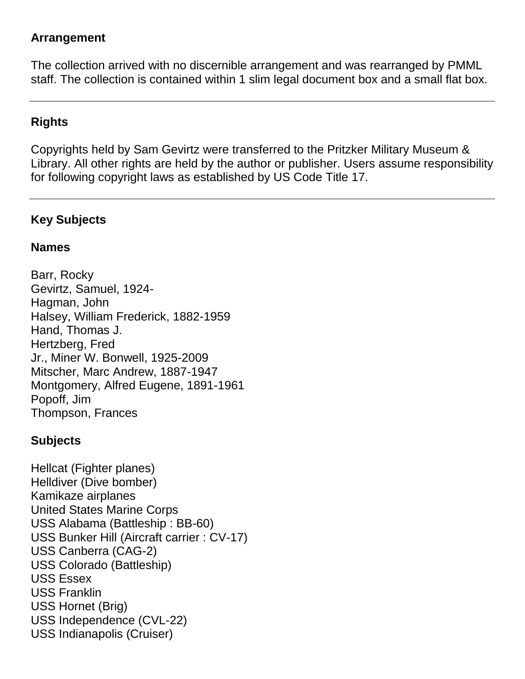#### **Arrangement**

The collection arrived with no discernible arrangement and was rearranged by PMML staff. The collection is contained within 1 slim legal document box and a small flat box.

#### **Rights**

Copyrights held by Sam Gevirtz were transferred to the Pritzker Military Museum & Library. All other rights are held by the author or publisher. Users assume responsibility for following copyright laws as established by US Code Title 17.

## **Key Subjects**

#### **Names**

Barr, Rocky Gevirtz, Samuel, 1924- Hagman, John Halsey, William Frederick, 1882-1959 Hand, Thomas J. Hertzberg, Fred Jr., Miner W. Bonwell, 1925-2009 Mitscher, Marc Andrew, 1887-1947 Montgomery, Alfred Eugene, 1891-1961 Popoff, Jim Thompson, Frances

## **Subjects**

Hellcat (Fighter planes) Helldiver (Dive bomber) Kamikaze airplanes United States Marine Corps USS Alabama (Battleship : BB-60) USS Bunker Hill (Aircraft carrier : CV-17) USS Canberra (CAG-2) USS Colorado (Battleship) USS Essex USS Franklin USS Hornet (Brig) USS Independence (CVL-22) USS Indianapolis (Cruiser)